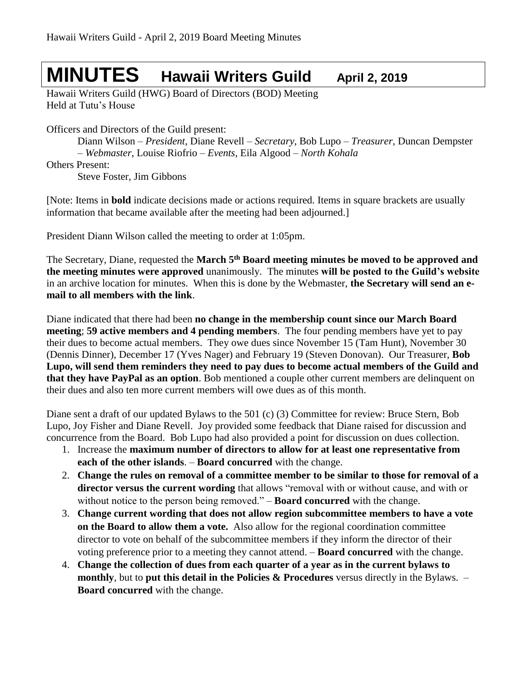# **MINUTES Hawaii Writers Guild April 2, <sup>2019</sup>**

Hawaii Writers Guild (HWG) Board of Directors (BOD) Meeting Held at Tutu's House

Officers and Directors of the Guild present:

Diann Wilson – *President*, Diane Revell – *Secretary*, Bob Lupo – *Treasurer*, Duncan Dempster – *Webmaster*, Louise Riofrio – *Events*, Eila Algood – *North Kohala*

Others Present:

Steve Foster, Jim Gibbons

[Note: Items in **bold** indicate decisions made or actions required. Items in square brackets are usually information that became available after the meeting had been adjourned.]

President Diann Wilson called the meeting to order at 1:05pm.

The Secretary, Diane, requested the **March 5 th Board meeting minutes be moved to be approved and the meeting minutes were approved** unanimously. The minutes **will be posted to the Guild's website** in an archive location for minutes. When this is done by the Webmaster, **the Secretary will send an email to all members with the link**.

Diane indicated that there had been **no change in the membership count since our March Board meeting**; **59 active members and 4 pending members**. The four pending members have yet to pay their dues to become actual members. They owe dues since November 15 (Tam Hunt), November 30 (Dennis Dinner), December 17 (Yves Nager) and February 19 (Steven Donovan). Our Treasurer, **Bob Lupo, will send them reminders they need to pay dues to become actual members of the Guild and that they have PayPal as an option**. Bob mentioned a couple other current members are delinquent on their dues and also ten more current members will owe dues as of this month.

Diane sent a draft of our updated Bylaws to the 501 (c) (3) Committee for review: Bruce Stern, Bob Lupo, Joy Fisher and Diane Revell. Joy provided some feedback that Diane raised for discussion and concurrence from the Board. Bob Lupo had also provided a point for discussion on dues collection.

- 1. Increase the **maximum number of directors to allow for at least one representative from each of the other islands**. – **Board concurred** with the change.
- 2. **Change the rules on removal of a committee member to be similar to those for removal of a director versus the current wording** that allows "removal with or without cause, and with or without notice to the person being removed." – **Board concurred** with the change.
- 3. **Change current wording that does not allow region subcommittee members to have a vote on the Board to allow them a vote.** Also allow for the regional coordination committee director to vote on behalf of the subcommittee members if they inform the director of their voting preference prior to a meeting they cannot attend. – **Board concurred** with the change.
- 4. **Change the collection of dues from each quarter of a year as in the current bylaws to monthly**, but to **put this detail in the Policies & Procedures** versus directly in the Bylaws. – **Board concurred** with the change.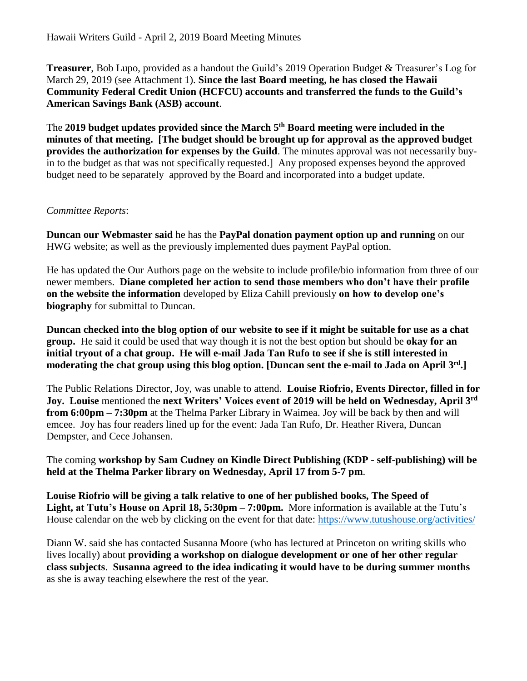**Treasurer**, Bob Lupo, provided as a handout the Guild's 2019 Operation Budget & Treasurer's Log for March 29, 2019 (see Attachment 1). **Since the last Board meeting, he has closed the Hawaii Community Federal Credit Union (HCFCU) accounts and transferred the funds to the Guild's American Savings Bank (ASB) account**.

The **2019 budget updates provided since the March 5 th Board meeting were included in the minutes of that meeting. [The budget should be brought up for approval as the approved budget provides the authorization for expenses by the Guild**. The minutes approval was not necessarily buyin to the budget as that was not specifically requested.] Any proposed expenses beyond the approved budget need to be separately approved by the Board and incorporated into a budget update.

# *Committee Reports*:

**Duncan our Webmaster said** he has the **PayPal donation payment option up and running** on our HWG website; as well as the previously implemented dues payment PayPal option.

He has updated the Our Authors page on the website to include profile/bio information from three of our newer members. **Diane completed her action to send those members who don't have their profile on the website the information** developed by Eliza Cahill previously **on how to develop one's biography** for submittal to Duncan.

**Duncan checked into the blog option of our website to see if it might be suitable for use as a chat group.** He said it could be used that way though it is not the best option but should be **okay for an initial tryout of a chat group. He will e-mail Jada Tan Rufo to see if she is still interested in moderating the chat group using this blog option. [Duncan sent the e-mail to Jada on April 3 rd .]**

The Public Relations Director, Joy, was unable to attend. **Louise Riofrio, Events Director, filled in for Joy. Louise** mentioned the **next Writers' Voices event of 2019 will be held on Wednesday, April 3 rd from 6:00pm – 7:30pm** at the Thelma Parker Library in Waimea. Joy will be back by then and will emcee. Joy has four readers lined up for the event: Jada Tan Rufo, Dr. Heather Rivera, Duncan Dempster, and Cece Johansen.

The coming **workshop by Sam Cudney on Kindle Direct Publishing (KDP - self-publishing) will be held at the Thelma Parker library on Wednesday, April 17 from 5-7 pm**.

**Louise Riofrio will be giving a talk relative to one of her published books, The Speed of Light, at Tutu's House on April 18, 5:30pm – 7:00pm.** More information is available at the Tutu's House calendar on the web by clicking on the event for that date: <https://www.tutushouse.org/activities/>

Diann W. said she has contacted Susanna Moore (who has lectured at Princeton on writing skills who lives locally) about **providing a workshop on dialogue development or one of her other regular class subjects**. **Susanna agreed to the idea indicating it would have to be during summer months**  as she is away teaching elsewhere the rest of the year.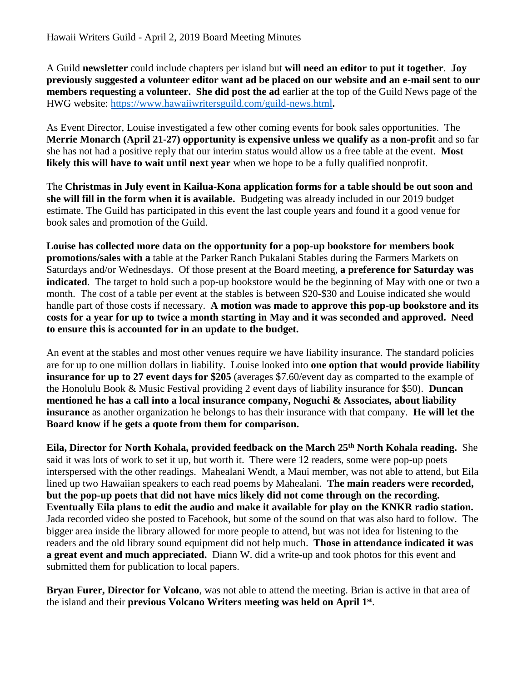A Guild **newsletter** could include chapters per island but **will need an editor to put it together**. **Joy previously suggested a volunteer editor want ad be placed on our website and an e-mail sent to our members requesting a volunteer. She did post the ad** earlier at the top of the Guild News page of the HWG website:<https://www.hawaiiwritersguild.com/guild-news.html>**.**

As Event Director, Louise investigated a few other coming events for book sales opportunities. The **Merrie Monarch (April 21-27) opportunity is expensive unless we qualify as a non-profit** and so far she has not had a positive reply that our interim status would allow us a free table at the event. **Most likely this will have to wait until next year** when we hope to be a fully qualified nonprofit.

The **Christmas in July event in Kailua-Kona application forms for a table should be out soon and she will fill in the form when it is available.** Budgeting was already included in our 2019 budget estimate. The Guild has participated in this event the last couple years and found it a good venue for book sales and promotion of the Guild.

**Louise has collected more data on the opportunity for a pop-up bookstore for members book promotions/sales with a** table at the Parker Ranch Pukalani Stables during the Farmers Markets on Saturdays and/or Wednesdays. Of those present at the Board meeting, **a preference for Saturday was indicated**. The target to hold such a pop-up bookstore would be the beginning of May with one or two a month. The cost of a table per event at the stables is between \$20-\$30 and Louise indicated she would handle part of those costs if necessary. **A motion was made to approve this pop-up bookstore and its costs for a year for up to twice a month starting in May and it was seconded and approved. Need to ensure this is accounted for in an update to the budget.**

An event at the stables and most other venues require we have liability insurance. The standard policies are for up to one million dollars in liability. Louise looked into **one option that would provide liability insurance for up to 27 event days for \$205** (averages \$7.60/event day as comparted to the example of the Honolulu Book & Music Festival providing 2 event days of liability insurance for \$50). **Duncan mentioned he has a call into a local insurance company, Noguchi & Associates, about liability insurance** as another organization he belongs to has their insurance with that company. **He will let the Board know if he gets a quote from them for comparison.**

**Eila, Director for North Kohala, provided feedback on the March 25th North Kohala reading.** She said it was lots of work to set it up, but worth it. There were 12 readers, some were pop-up poets interspersed with the other readings. Mahealani Wendt, a Maui member, was not able to attend, but Eila lined up two Hawaiian speakers to each read poems by Mahealani. **The main readers were recorded, but the pop-up poets that did not have mics likely did not come through on the recording. Eventually Eila plans to edit the audio and make it available for play on the KNKR radio station.**  Jada recorded video she posted to Facebook, but some of the sound on that was also hard to follow. The bigger area inside the library allowed for more people to attend, but was not idea for listening to the readers and the old library sound equipment did not help much. **Those in attendance indicated it was a great event and much appreciated.** Diann W. did a write-up and took photos for this event and submitted them for publication to local papers.

**Bryan Furer, Director for Volcano**, was not able to attend the meeting. Brian is active in that area of the island and their **previous Volcano Writers meeting was held on April 1 st** .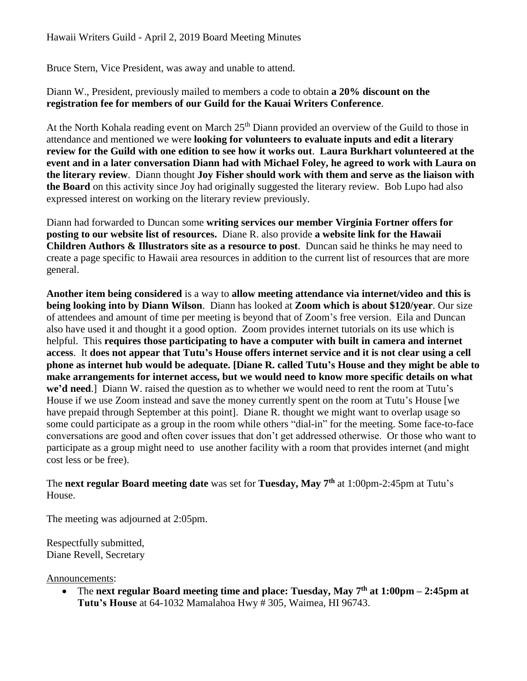# Hawaii Writers Guild - April 2, 2019 Board Meeting Minutes

Bruce Stern, Vice President, was away and unable to attend.

Diann W., President, previously mailed to members a code to obtain **a 20% discount on the registration fee for members of our Guild for the Kauai Writers Conference**.

At the North Kohala reading event on March 25<sup>th</sup> Diann provided an overview of the Guild to those in attendance and mentioned we were **looking for volunteers to evaluate inputs and edit a literary review for the Guild with one edition to see how it works out**. **Laura Burkhart volunteered at the event and in a later conversation Diann had with Michael Foley, he agreed to work with Laura on the literary review**. Diann thought **Joy Fisher should work with them and serve as the liaison with the Board** on this activity since Joy had originally suggested the literary review. Bob Lupo had also expressed interest on working on the literary review previously.

Diann had forwarded to Duncan some **writing services our member Virginia Fortner offers for posting to our website list of resources.** Diane R. also provide **a website link for the Hawaii Children Authors & Illustrators site as a resource to post**. Duncan said he thinks he may need to create a page specific to Hawaii area resources in addition to the current list of resources that are more general.

**Another item being considered** is a way to **allow meeting attendance via internet/video and this is being looking into by Diann Wilson**. Diann has looked at **Zoom which is about \$120/year**. Our size of attendees and amount of time per meeting is beyond that of Zoom's free version. Eila and Duncan also have used it and thought it a good option. Zoom provides internet tutorials on its use which is helpful. This **requires those participating to have a computer with built in camera and internet access**. It **does not appear that Tutu's House offers internet service and it is not clear using a cell phone as internet hub would be adequate. [Diane R. called Tutu's House and they might be able to make arrangements for internet access, but we would need to know more specific details on what we'd need**.] Diann W. raised the question as to whether we would need to rent the room at Tutu's House if we use Zoom instead and save the money currently spent on the room at Tutu's House [we have prepaid through September at this point]. Diane R. thought we might want to overlap usage so some could participate as a group in the room while others "dial-in" for the meeting. Some face-to-face conversations are good and often cover issues that don't get addressed otherwise. Or those who want to participate as a group might need to use another facility with a room that provides internet (and might cost less or be free).

#### The **next regular Board meeting date** was set for **Tuesday, May 7 th** at 1:00pm-2:45pm at Tutu's House.

The meeting was adjourned at 2:05pm.

Respectfully submitted, Diane Revell, Secretary

Announcements:

• The next regular Board meeting time and place: Tuesday, May 7<sup>th</sup> at 1:00pm – 2:45pm at **Tutu's House** at 64-1032 Mamalahoa Hwy # 305, Waimea, HI 96743.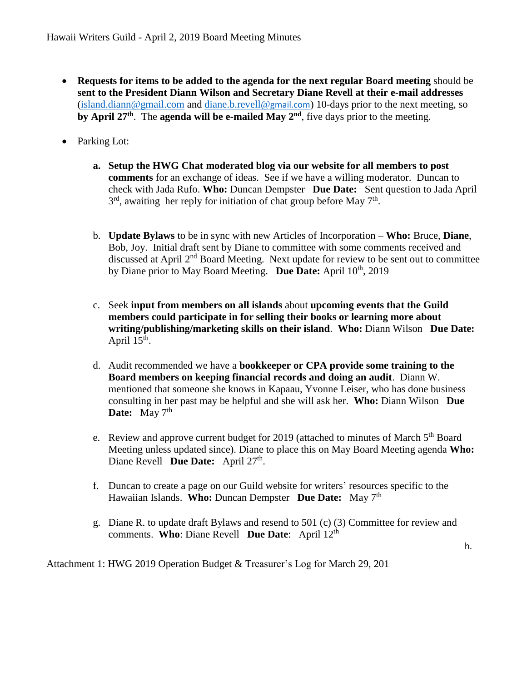- **Requests for items to be added to the agenda for the next regular Board meeting** should be **sent to the President Diann Wilson and Secretary Diane Revell at their e-mail addresses** [\(island.diann@gmail.com](mailto:island.diann@gmail.com) and [diane.b.revell@](mailto:diane.b.revell@gmail.com)gmail.com) 10-days prior to the next meeting, so by April 27<sup>th</sup>. The agenda will be e-mailed May 2<sup>nd</sup>, five days prior to the meeting.
- Parking Lot:
	- **a. Setup the HWG Chat moderated blog via our website for all members to post comments** for an exchange of ideas. See if we have a willing moderator. Duncan to check with Jada Rufo. **Who:** Duncan Dempster **Due Date:** Sent question to Jada April  $3<sup>rd</sup>$ , awaiting her reply for initiation of chat group before May  $7<sup>th</sup>$ .
	- b. **Update Bylaws** to be in sync with new Articles of Incorporation **Who:** Bruce, **Diane**, Bob, Joy. Initial draft sent by Diane to committee with some comments received and discussed at April 2<sup>nd</sup> Board Meeting. Next update for review to be sent out to committee by Diane prior to May Board Meeting. Due Date: April 10<sup>th</sup>, 2019
	- c. Seek **input from members on all islands** about **upcoming events that the Guild members could participate in for selling their books or learning more about writing/publishing/marketing skills on their island**. **Who:** Diann Wilson **Due Date:** April  $15<sup>th</sup>$ .
	- d. Audit recommended we have a **bookkeeper or CPA provide some training to the Board members on keeping financial records and doing an audit**. Diann W. mentioned that someone she knows in Kapaau, Yvonne Leiser, who has done business consulting in her past may be helpful and she will ask her. **Who:** Diann Wilson **Due Date:** May 7<sup>th</sup>
	- e. Review and approve current budget for 2019 (attached to minutes of March 5th Board Meeting unless updated since). Diane to place this on May Board Meeting agenda **Who:** Diane Revell **Due Date:** April 27<sup>th</sup>.
	- f. Duncan to create a page on our Guild website for writers' resources specific to the Hawaiian Islands. **Who:** Duncan Dempster **Due Date:** May 7 th
	- g. Diane R. to update draft Bylaws and resend to 501 (c) (3) Committee for review and comments. **Who**: Diane Revell **Due Date**: April 12th

Attachment 1: HWG 2019 Operation Budget & Treasurer's Log for March 29, 201